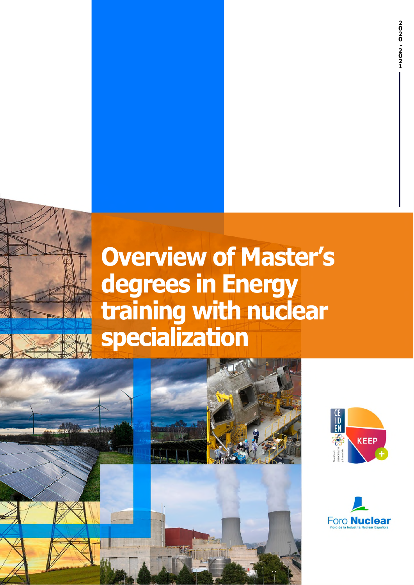# **Overview of Master's degrees in Energy training with nuclear specialization**





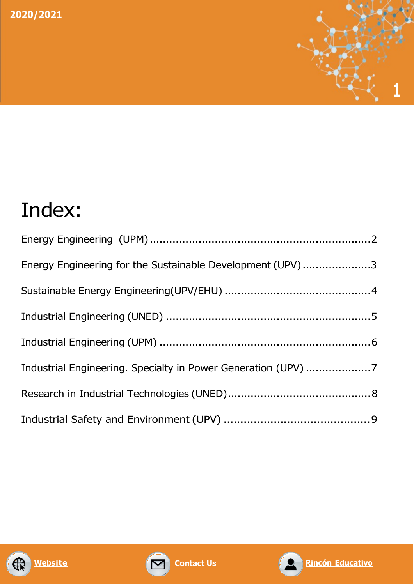

# Index:

| Energy Engineering for the Sustainable Development (UPV)3     |  |
|---------------------------------------------------------------|--|
|                                                               |  |
|                                                               |  |
|                                                               |  |
| Industrial Engineering. Specialty in Power Generation (UPV) 7 |  |
|                                                               |  |
|                                                               |  |





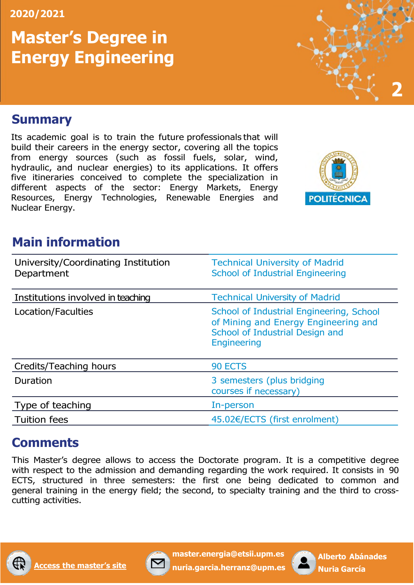# **Master's Degree in Energy Engineering**

# **2**

#### <span id="page-2-0"></span>**Summary**

Its academic goal is to train the future professionals that will build their careers in the energy sector, covering all the topics from energy sources (such as fossil fuels, solar, wind, hydraulic, and nuclear energies) to its applications. It offers five itineraries conceived to complete the specialization in different aspects of the sector: Energy Markets, Energy Resources, Energy Technologies, Renewable Energies and Nuclear Energy.



# **Main information**

| University/Coordinating Institution<br>Department | <b>Technical University of Madrid</b><br><b>School of Industrial Engineering</b>                                                          |
|---------------------------------------------------|-------------------------------------------------------------------------------------------------------------------------------------------|
| Institutions involved in teaching                 | <b>Technical University of Madrid</b>                                                                                                     |
| Location/Faculties                                | School of Industrial Engineering, School<br>of Mining and Energy Engineering and<br>School of Industrial Design and<br><b>Engineering</b> |
| Credits/Teaching hours                            | 90 ECTS                                                                                                                                   |
| Duration                                          | 3 semesters (plus bridging<br>courses if necessary)                                                                                       |
| Type of teaching                                  | In-person                                                                                                                                 |
| <b>Tuition fees</b>                               | 45.02€/ECTS (first enrolment)                                                                                                             |

# **Comments**

This Master's degree allows to access the Doctorate program. It is a competitive degree with respect to the admission and demanding regarding the work required. It consists in 90 ECTS, structured in three semesters: the first one being dedicated to common and general training in the energy field; the second, to specialty training and the third to crosscutting activities.





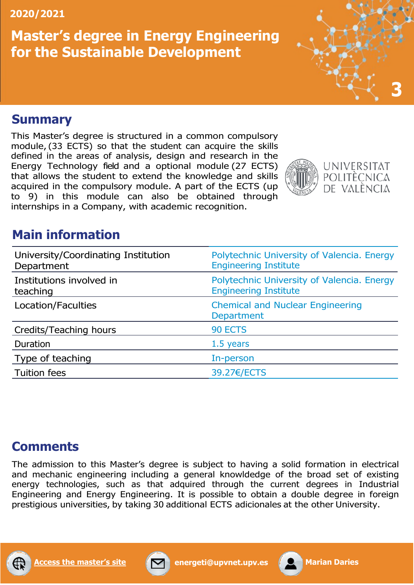# **Master's degree in Energy Engineering for the Sustainable Development**



#### <span id="page-3-0"></span>**Summary**

This Master's degree is structured in a common compulsory module, (33 ECTS) so that the student can acquire the skills defined in the areas of analysis, design and research in the Energy Technology field and a optional module (27 ECTS) that allows the student to extend the knowledge and skills acquired in the compulsory module. A part of the ECTS (up to 9) in this module can also be obtained through internships in a Company, with academic recognition.



## **Main information**

| University/Coordinating Institution<br>Department | Polytechnic University of Valencia. Energy<br><b>Engineering Institute</b> |
|---------------------------------------------------|----------------------------------------------------------------------------|
| Institutions involved in<br>teaching              | Polytechnic University of Valencia. Energy<br><b>Engineering Institute</b> |
| Location/Faculties                                | <b>Chemical and Nuclear Engineering</b><br>Department                      |
| Credits/Teaching hours                            | 90 ECTS                                                                    |
| Duration                                          | 1.5 years                                                                  |
| Type of teaching                                  | In-person                                                                  |
| <b>Tuition fees</b>                               | 39.27€/ECTS                                                                |

#### **Comments**

The admission to this Master's degree is subject to having a solid formation in electrical and mechanic engineering including a general knowldedge of the broad set of existing energy technologies, such as that adquired through the current degrees in Industrial Engineering and Energy Engineering. It is possible to obtain a double degree in foreign prestigious universities, by taking 30 additional ECTS adicionales at the other University.





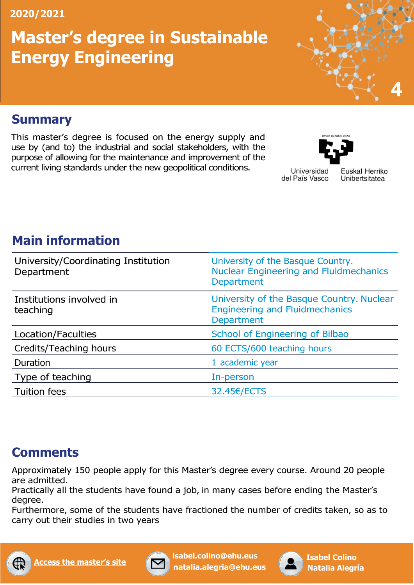# **Master's degree in Sustainable Energy Engineering**



#### <span id="page-4-0"></span>**Summary**

This master's degree is focused on the energy supply and use by (and to) the industrial and social stakeholders, with the purpose of allowing for the maintenance and improvement of the current living standards under the new geopolitical conditions.



Universidad del País Vasco Euskal Herriko Unibertsitatea

# **Main information**

| University/Coordinating Institution<br>Department | University of the Basque Country.<br><b>Nuclear Engineering and Fluidmechanics</b><br><b>Department</b> |
|---------------------------------------------------|---------------------------------------------------------------------------------------------------------|
| Institutions involved in<br>teaching              | University of the Basque Country. Nuclear<br><b>Engineering and Fluidmechanics</b><br><b>Department</b> |
| Location/Faculties                                | School of Engineering of Bilbao                                                                         |
| Credits/Teaching hours                            | 60 ECTS/600 teaching hours                                                                              |
| Duration                                          | 1 academic year                                                                                         |
| Type of teaching                                  | In-person                                                                                               |
| <b>Tuition fees</b>                               | 32.45€/ECTS                                                                                             |

# **Comments**

Approximately 150 people apply for this Master's degree every course. Around 20 people are admitted.

Practically all the students have found a job, in many cases before ending the Master's degree.

Furthermore, some of the students have fractioned the number of credits taken, so as to carry out their studies in two years





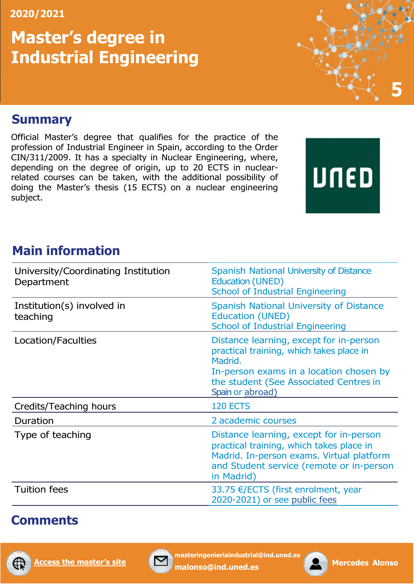# **Master's degree in Industrial Engineering**



#### <span id="page-5-0"></span>**Summary**

Official Master's degree that qualifies for the practice of the profession of Industrial Engineer in Spain, according to the Order CIN/311/2009. It has a specialty in Nuclear Engineering, where, depending on the degree of origin, up to 20 ECTS in nuclearrelated courses can be taken, with the additional possibility of doing the Master's thesis (15 ECTS) on a nuclear engineering subject.

# UNED

# **Main information**

| University/Coordinating Institution<br>Department | <b>Spanish National University of Distance</b><br><b>Education (UNED)</b><br><b>School of Industrial Engineering</b>                                                                                    |
|---------------------------------------------------|---------------------------------------------------------------------------------------------------------------------------------------------------------------------------------------------------------|
| Institution(s) involved in<br>teaching            | <b>Spanish National University of Distance</b><br><b>Education (UNED)</b><br><b>School of Industrial Engineering</b>                                                                                    |
| Location/Faculties                                | Distance learning, except for in-person<br>practical training, which takes place in<br>Madrid.<br>In-person exams in a location chosen by<br>the student (See Associated Centres in<br>Spain or abroad) |
| Credits/Teaching hours                            | <b>120 ECTS</b>                                                                                                                                                                                         |
| Duration                                          | 2 academic courses                                                                                                                                                                                      |
| Type of teaching                                  | Distance learning, except for in-person<br>practical training, which takes place in<br>Madrid. In-person exams. Virtual platform<br>and Student service (remote or in-person<br>in Madrid)              |
| <b>Tuition fees</b>                               | 33.75 €/ECTS (first enrolment, year<br>2020-2021) or see public fees                                                                                                                                    |

# **Comments**





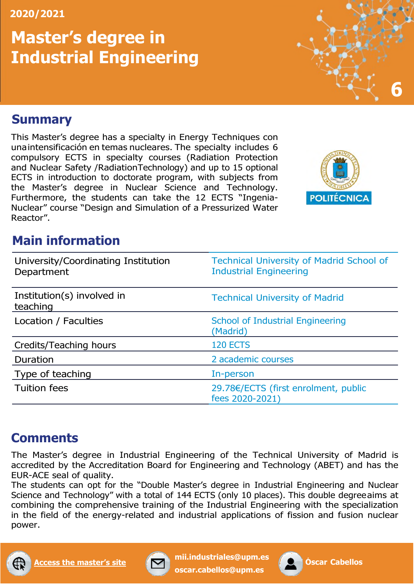# **Master's degree in Industrial Engineering**



#### <span id="page-6-0"></span>**Summary**

This Master's degree has a specialty in Energy Techniques con una intensificación en temas nucleares. The specialty includes 6 compulsory ECTS in specialty courses (Radiation Protection and Nuclear Safety /Radiation Technology) and up to 15 optional ECTS in introduction to doctorate program, with subjects from the Master's degree in Nuclear Science and Technology. Furthermore, the students can take the 12 ECTS "Ingenia-Nuclear" course "Design and Simulation of a Pressurized Water Reactor".



# **Main information**

| University/Coordinating Institution<br>Department | <b>Technical University of Madrid School of</b><br><b>Industrial Engineering</b> |
|---------------------------------------------------|----------------------------------------------------------------------------------|
| Institution(s) involved in<br>teaching            | <b>Technical University of Madrid</b>                                            |
| Location / Faculties                              | <b>School of Industrial Engineering</b><br>(Madrid)                              |
| Credits/Teaching hours                            | <b>120 ECTS</b>                                                                  |
| Duration                                          | 2 academic courses                                                               |
| Type of teaching                                  | In-person                                                                        |
| <b>Tuition fees</b>                               | 29.78€/ECTS (first enrolment, public<br>fees 2020-2021)                          |

# **Comments**

The Master's degree in Industrial Engineering of the Technical University of Madrid is accredited by the Accreditation Board for Engineering and Technology (ABET) and has the EUR-ACE seal of quality.

The students can opt for the "Double Master's degree in Industrial Engineering and Nuclear Science and Technology" with a total of 144 ECTS (only 10 places). This double degree aims at combining the comprehensive training of the Industrial Engineering with the specialization in the field of the energy-related and industrial applications of fission and fusion nuclear power.





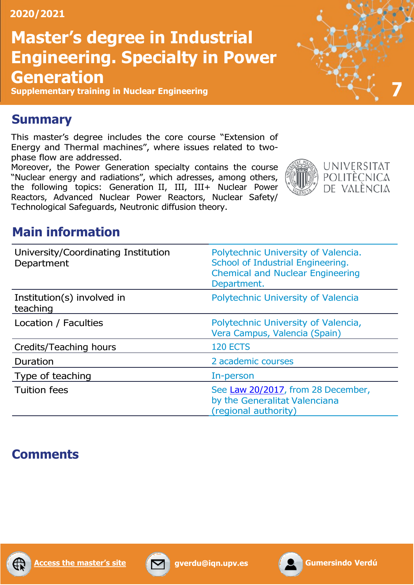# **Master's degree in Industrial Engineering. Specialty in Power Generation**

**Supplementary training in Nuclear Engineering 7**



#### <span id="page-7-0"></span>**Summary**

This master's degree includes the core course "Extension of Energy and Thermal machines", where issues related to twophase flow are addressed.

Moreover, the Power Generation specialty contains the course "Nuclear energy and radiations", which adresses, among others, the following topics: Generation II, III, III+ Nuclear Power Reactors, Advanced Nuclear Power Reactors, Nuclear Safety/ Technological Safeguards, Neutronic diffusion theory.





# **Main information**

| University/Coordinating Institution<br>Department | Polytechnic University of Valencia.<br>School of Industrial Engineering.<br><b>Chemical and Nuclear Engineering</b><br>Department. |
|---------------------------------------------------|------------------------------------------------------------------------------------------------------------------------------------|
| Institution(s) involved in<br>teaching            | Polytechnic University of Valencia                                                                                                 |
| Location / Faculties                              | Polytechnic University of Valencia,<br>Vera Campus, Valencia (Spain)                                                               |
| Credits/Teaching hours                            | <b>120 ECTS</b>                                                                                                                    |
| Duration                                          | 2 academic courses                                                                                                                 |
| Type of teaching                                  | In-person                                                                                                                          |
| <b>Tuition fees</b>                               | See Law 20/2017, from 28 December,<br>by the Generalitat Valenciana<br>(regional authority)                                        |

# **Comments**





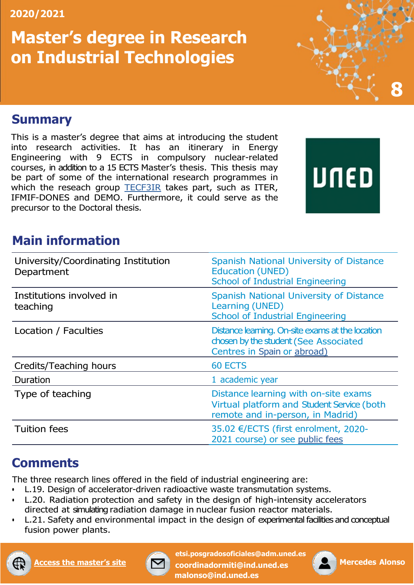# **Master's degree in Research on Industrial Technologies**

#### <span id="page-8-0"></span>**Summary**

This is a master's degree that aims at introducing the student into research activities. It has an itinerary in Energy Engineering with 9 ECTS in compulsory nuclear-related courses, in addition to a 15 ECTS Master's thesis. This thesis may be part of some of the international research programmes in which the reseach group **TECF3IR** takes part, such as ITER, IFMIF-DONES and DEMO. Furthermore, it could serve as the precursor to the Doctoral thesis.

# UNED

**8**

## **Main information**

| University/Coordinating Institution<br>Department | Spanish National University of Distance<br><b>Education (UNED)</b><br><b>School of Industrial Engineering</b>            |
|---------------------------------------------------|--------------------------------------------------------------------------------------------------------------------------|
| Institutions involved in<br>teaching              | Spanish National University of Distance<br>Learning (UNED)<br><b>School of Industrial Engineering</b>                    |
| Location / Faculties                              | Distance learning. On-site exams at the location<br>chosen by the student (See Associated<br>Centres in Spain or abroad) |
| Credits/Teaching hours                            | <b>60 ECTS</b>                                                                                                           |
| Duration                                          | 1 academic year                                                                                                          |
| Type of teaching                                  | Distance learning with on-site exams<br>Virtual platform and Student Service (both<br>remote and in-person, in Madrid)   |
| <b>Tuition fees</b>                               | 35.02 €/ECTS (first enrolment, 2020-<br>2021 course) or see public fees                                                  |

# **Comments**

The three research lines offered in the field of industrial engineering are:

- L.19. Design of accelerator-driven radioactive waste transmutation systems.
- L.20. Radiation protection and safety in the design of high-intensity accelerators directed at simulating radiation damage in nuclear fusion reactor materials.
- L.21. Safety and environmental impact in the design of experimental facilities and conceptual fusion power plants.





**[etsi.posgrado](mailto:etsi.posgradosoficiales@adm.uned.es)[soficiales@adm.uned.es](mailto:soficiales@adm.uned.es) [coor](mailto:coordinadormiti@ind.uned.es)[dinadormiti@ind.uned.es](mailto:dinadormiti@ind.uned.es) [malonso@ind.uned.es](mailto:malonso@ind.uned.es)**

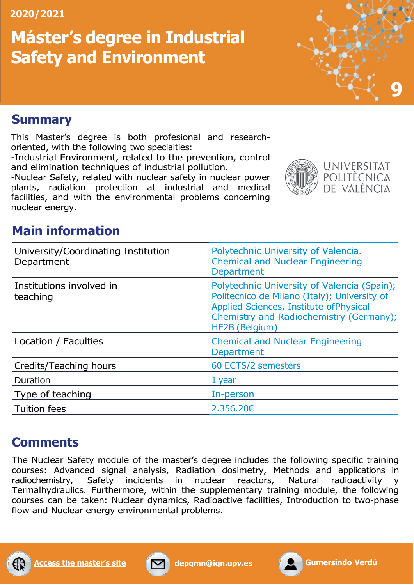# **Máster's degree in Industrial Safety and Environment**



#### <span id="page-9-0"></span>**Summary**

This Master's degree is both profesional and researchoriented, with the following two specialties:

-Industrial Environment, related to the prevention, control and elimination techniques of industrial pollution.

-Nuclear Safety, related with nuclear safety in nuclear power plants, radiation protection at industrial and medical facilities, and with the environmental problems concerning nuclear energy.



# **Main information**

| University/Coordinating Institution<br>Department | Polytechnic University of Valencia.<br><b>Chemical and Nuclear Engineering</b><br><b>Department</b>                                                                                                 |
|---------------------------------------------------|-----------------------------------------------------------------------------------------------------------------------------------------------------------------------------------------------------|
| Institutions involved in<br>teaching              | Polytechnic University of Valencia (Spain);<br>Politecnico de Milano (Italy); University of<br>Applied Sciences, Institute of Physical<br>Chemistry and Radiochemistry (Germany);<br>HE2B (Belgium) |
| Location / Faculties                              | <b>Chemical and Nuclear Engineering</b><br>Department                                                                                                                                               |
| Credits/Teaching hours                            | 60 ECTS/2 semesters                                                                                                                                                                                 |
| Duration                                          | 1 year                                                                                                                                                                                              |
| Type of teaching                                  | In-person                                                                                                                                                                                           |
| <b>Tuition fees</b>                               | 2,356,20€                                                                                                                                                                                           |

# **Comments**

The Nuclear Safety module of the master's degree includes the following specific training courses: Advanced signal analysis, Radiation dosimetry, Methods and applications in radiochemistry, Safety incidents in nuclear reactors, Natural radioactivity Termalhydraulics. Furthermore, within the supplementary training module, the following courses can be taken: Nuclear dynamics, Radioactive facilities, Introduction to two-phase flow and Nuclear energy environmental problems.